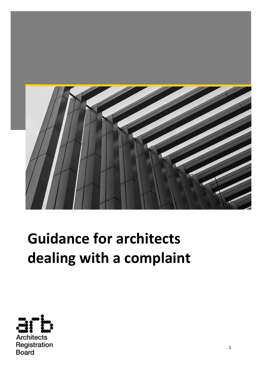

# **Guidance for architects dealing with a complaint**

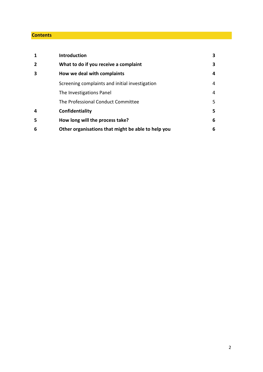#### **Contents**

| 1              | <b>Introduction</b>                                | 3  |
|----------------|----------------------------------------------------|----|
| $\overline{2}$ | What to do if you receive a complaint              | 3  |
| 3              | How we deal with complaints                        | 4  |
|                | Screening complaints and initial investigation     | 4  |
|                | The Investigations Panel                           | 4  |
|                | The Professional Conduct Committee                 | 5. |
| 4              | Confidentiality                                    | 5. |
| 5              | How long will the process take?                    | 6  |
| 6              | Other organisations that might be able to help you | 6  |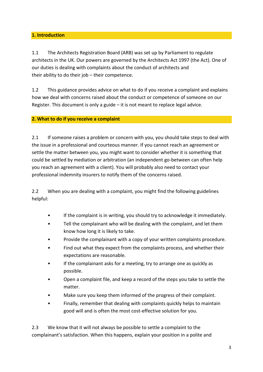# **1. Introduction**

1.1 The Architects Registration Board (ARB) was set up by Parliament to regulate architects in the UK. Our powers are governed by the Architects Act 1997 (the Act). One of our duties is dealing with complaints about the conduct of architects and their ability to do their job – their competence.

1.2 This guidance provides advice on what to do if you receive a complaint and explains how we deal with concerns raised about the conduct or competence of someone on our Register. This document is only a guide – it is not meant to replace legal advice.

## **2. What to do if you receive a complaint**

2.1 If someone raises a problem or concern with you, you should take steps to deal with the issue in a professional and courteous manner. If you cannot reach an agreement or settle the matter between you, you might want to consider whether it is something that could be settled by mediation or arbitration (an independent go-between can often help you reach an agreement with a client). You will probably also need to contact your professional indemnity insurers to notify them of the concerns raised.

2.2 When you are dealing with a complaint, you might find the following guidelines helpful:

- If the complaint is in writing, you should try to acknowledge it immediately.
- Tell the complainant who will be dealing with the complaint, and let them know how long it is likely to take.
- Provide the complainant with a copy of your written complaints procedure.
- Find out what they expect from the complaints process, and whether their expectations are reasonable.
- If the complainant asks for a meeting, try to arrange one as quickly as possible.
- Open a complaint file, and keep a record of the steps you take to settle the matter.
- Make sure you keep them informed of the progress of their complaint.
- Finally, remember that dealing with complaints quickly helps to maintain good will and is often the most cost-effective solution for you.

2.3 We know that it will not always be possible to settle a complaint to the complainant's satisfaction. When this happens, explain your position in a polite and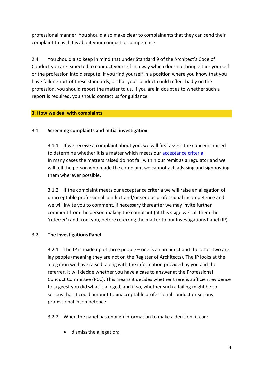professional manner. You should also make clear to complainants that they can send their complaint to us if it is about your conduct or competence.

2.4 You should also keep in mind that under Standard 9 of the Architect's Code of Conduct you are expected to conduct yourself in a way which does not bring either yourself or the profession into disrepute. If you find yourself in a position where you know that you have fallen short of these standards, or that your conduct could reflect badly on the profession, you should report the matter to us. If you are in doubt as to whether such a report is required, you should contact us for guidance.

## **3. How we deal with complaints**

# 3.1 **Screening complaints and initial investigation**

3.1.1 If we receive a complaint about you, we will first assess the concerns raised to determine whether it is a matter which meets our [acceptance criteria.](https://arb.org.uk/complaints/arbs-complaint-process/arbs-investigation-process/acceptance-criteria/) In many cases the matters raised do not fall within our remit as a regulator and we will tell the person who made the complaint we cannot act, advising and signposting them wherever possible.

3.1.2 If the complaint meets our acceptance criteria we will raise an allegation of unacceptable professional conduct and/or serious professional incompetence and we will invite you to comment. If necessary thereafter we may invite further comment from the person making the complaint (at this stage we call them the 'referrer') and from you, before referring the matter to our Investigations Panel (IP).

# 3.2 **The Investigations Panel**

3.2.1 The IP is made up of three people – one is an architect and the other two are lay people (meaning they are not on the Register of Architects). The IP looks at the allegation we have raised, along with the information provided by you and the referrer. It will decide whether you have a case to answer at the Professional Conduct Committee (PCC). This means it decides whether there is sufficient evidence to suggest you did what is alleged, and if so, whether such a failing might be so serious that it could amount to unacceptable professional conduct or serious professional incompetence.

- 3.2.2 When the panel has enough information to make a decision, it can:
	- dismiss the allegation;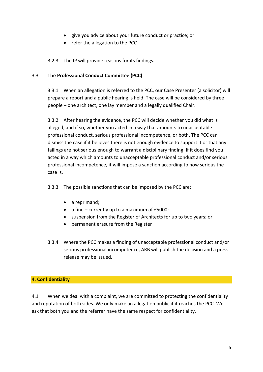- give you advice about your future conduct or practice; or
- refer the allegation to the PCC

3.2.3 The IP will provide reasons for its findings.

#### 3.3 **The Professional Conduct Committee (PCC)**

3.3.1 When an allegation is referred to the PCC, our Case Presenter (a solicitor) will prepare a report and a public hearing is held. The case will be considered by three people – one architect, one lay member and a legally qualified Chair.

3.3.2 After hearing the evidence, the PCC will decide whether you did what is alleged, and if so, whether you acted in a way that amounts to unacceptable professional conduct, serious professional incompetence, or both. The PCC can dismiss the case if it believes there is not enough evidence to support it or that any failings are not serious enough to warrant a disciplinary finding. If it does find you acted in a way which amounts to unacceptable professional conduct and/or serious professional incompetence, it will impose a sanction according to how serious the case is.

3.3.3 The possible sanctions that can be imposed by the PCC are:

- a reprimand;
- a fine currently up to a maximum of £5000;
- suspension from the Register of Architects for up to two years; or
- permanent erasure from the Register
- 3.3.4 Where the PCC makes a finding of unacceptable professional conduct and/or serious professional incompetence, ARB will publish the decision and a press release may be issued.

#### **4. Confidentiality**

4.1 When we deal with a complaint, we are committed to protecting the confidentiality and reputation of both sides. We only make an allegation public if it reaches the PCC. We ask that both you and the referrer have the same respect for confidentiality.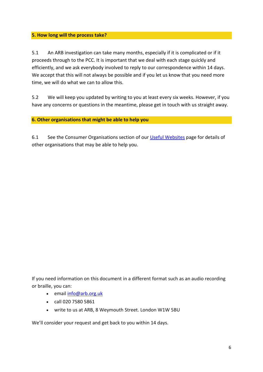### **5. How long will the process take?**

5.1 An ARB investigation can take many months, especially if it is complicated or if it proceeds through to the PCC. It is important that we deal with each stage quickly and efficiently, and we ask everybody involved to reply to our correspondence within 14 days. We accept that this will not always be possible and if you let us know that you need more time, we will do what we can to allow this.

5.2 We will keep you updated by writing to you at least every six weeks. However, if you have any concerns or questions in the meantime, please get in touch with us straight away.

## **6. Other organisations that might be able to help you**

6.1 See the Consumer Organisations section of our [Useful Websites](https://arb.org.uk/about-arb/useful-websites/) page for details of other organisations that may be able to help you.

If you need information on this document in a different format such as an audio recording or braille, you can:

- email [info@arb.org.uk](mailto:info@arb.org.uk)
- call 020 7580 5861
- write to us at ARB, 8 Weymouth Street. London W1W 5BU

We'll consider your request and get back to you within 14 days.